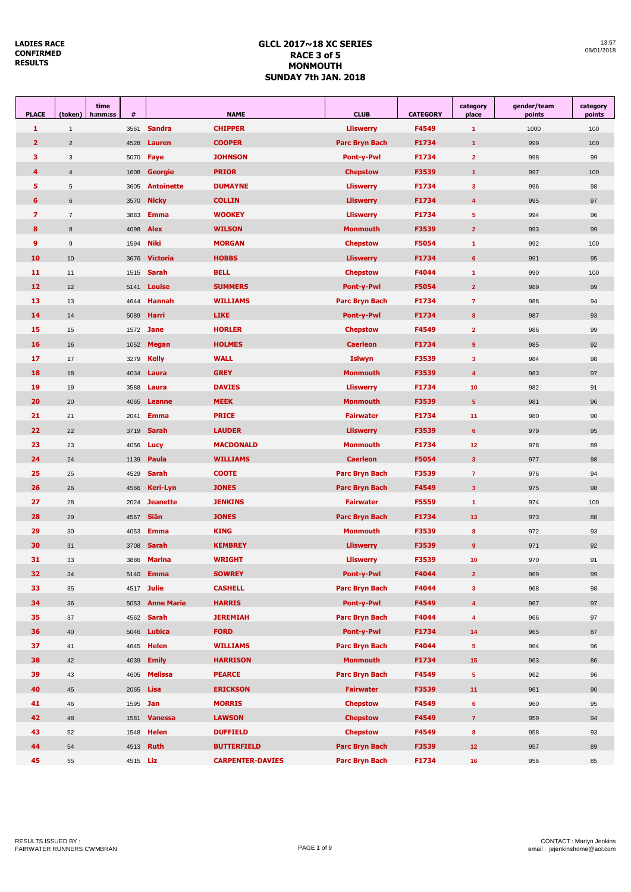|            | 13:57 |
|------------|-------|
| 08/01/2018 |       |

| <b>PLACE</b>            | time<br>(token)<br>h:mm:ss | #               | <b>NAME</b>       |                         | <b>CLUB</b>               | <b>CATEGORY</b> | category<br>place       | gender/team<br>points | category<br>points |
|-------------------------|----------------------------|-----------------|-------------------|-------------------------|---------------------------|-----------------|-------------------------|-----------------------|--------------------|
| 1                       | $\mathbf{1}$               | 3561            | <b>Sandra</b>     | <b>CHIPPER</b>          | <b>Lliswerry</b>          | F4549           | 1                       | 1000                  | 100                |
| $\overline{2}$          | $\overline{2}$             | 4528            | Lauren            | <b>COOPER</b>           | Parc Bryn Bach            | F1734           | $\mathbf{1}$            | 999                   | 100                |
| 3                       | 3                          | 5070            | Faye              | <b>JOHNSON</b>          | <b>Pont-y-Pwl</b>         | F1734           | $\mathbf{2}$            | 998                   | 99                 |
| 4                       | $\overline{4}$             | 1608            | Georgie           | <b>PRIOR</b>            | <b>Chepstow</b>           | F3539           | $\mathbf{1}$            | 997                   | 100                |
| 5                       | $\sqrt{5}$                 | 3605            | <b>Antoinette</b> | <b>DUMAYNE</b>          | <b>Lliswerry</b>          | F1734           | 3                       | 996                   | 98                 |
| 6                       | $6\phantom{1}$             | 3570            | <b>Nicky</b>      | <b>COLLIN</b>           | <b>Lliswerry</b>          | F1734           | $\overline{\mathbf{4}}$ | 995                   | 97                 |
| $\overline{\mathbf{z}}$ | $\overline{7}$             | 3883            | <b>Emma</b>       | <b>WOOKEY</b>           | <b>Lliswerry</b>          | F1734           | 5                       | 994                   | 96                 |
| 8                       | 8                          | 4098            | <b>Alex</b>       | <b>WILSON</b>           | <b>Monmouth</b>           | F3539           | $\overline{2}$          | 993                   | 99                 |
| 9                       | 9                          | 1594            | <b>Niki</b>       | <b>MORGAN</b>           | <b>Chepstow</b>           | F5054           | 1                       | 992                   | 100                |
| 10                      | 10                         | 3676            | <b>Victoria</b>   | <b>HOBBS</b>            | <b>Lliswerry</b>          | F1734           | $6\phantom{1}$          | 991                   | 95                 |
| 11                      | 11                         | 1515            | <b>Sarah</b>      | <b>BELL</b>             | <b>Chepstow</b>           | F4044           | $\mathbf{1}$            | 990                   | 100                |
| 12                      | 12                         | 5141            | <b>Louise</b>     | <b>SUMMERS</b>          | <b>Pont-y-Pwl</b>         | F5054           | $\overline{2}$          | 989                   | 99                 |
| 13                      | 13                         | 4644            | <b>Hannah</b>     | <b>WILLIAMS</b>         | Parc Bryn Bach            | F1734           | $\overline{7}$          | 988                   | 94                 |
| 14                      | 14                         | 5089            | Harri             | <b>LIKE</b>             | <b>Pont-y-Pwl</b>         | F1734           | 8                       | 987                   | 93                 |
| 15                      | 15                         | 1572            | <b>Jane</b>       | <b>HORLER</b>           | <b>Chepstow</b>           | F4549           | $\mathbf{2}$            | 986                   | 99                 |
| 16                      | 16                         | 1052            | <b>Megan</b>      | <b>HOLMES</b>           | <b>Caerleon</b>           | F1734           | 9                       | 985                   | 92                 |
| 17                      | 17                         | 3279            | <b>Kelly</b>      | <b>WALL</b>             | Islwyn                    | F3539           | 3                       | 984                   | 98                 |
| 18                      | 18                         | 4034            | Laura             | <b>GREY</b>             | <b>Monmouth</b>           | F3539           | $\overline{\mathbf{4}}$ | 983                   | 97                 |
|                         |                            |                 |                   |                         | <b>Lliswerry</b><br>F1734 |                 |                         |                       |                    |
| 19                      | 19                         | 3588            | Laura<br>Leanne   | <b>DAVIES</b>           |                           |                 | 10                      | 982                   | 91                 |
| 20                      | 20                         | 4065            |                   | <b>MEEK</b>             | <b>Monmouth</b>           | F3539           | $\overline{\mathbf{5}}$ | 981                   | 96                 |
| 21                      | 21                         | 2041            | <b>Emma</b>       | <b>PRICE</b>            | <b>Fairwater</b>          | F1734           | 11                      | 980                   | 90                 |
| 22                      | 22                         | 3719            | <b>Sarah</b>      | <b>LAUDER</b>           | <b>Lliswerry</b>          | F3539           | $6\phantom{1}$          | 979                   | 95                 |
| 23                      | 23                         | 4056            | Lucy              | <b>MACDONALD</b>        | <b>Monmouth</b>           | F1734           | 12                      | 978                   | 89                 |
| 24                      | 24                         | 1139            | Paula             | <b>WILLIAMS</b>         | <b>Caerleon</b>           | F5054           | 3                       | 977                   | 98                 |
| 25                      | 25                         | 4529            | <b>Sarah</b>      | <b>COOTE</b>            | <b>Parc Bryn Bach</b>     | F3539           | $\overline{7}$          | 976                   | 94                 |
| 26                      | 26                         | 4566            | <b>Keri-Lyn</b>   | <b>JONES</b>            | Parc Bryn Bach            | F4549           | $\mathbf{3}$            | 975                   | 98                 |
| 27                      | 28                         | 2024            | <b>Jeanette</b>   | <b>JENKINS</b>          | <b>Fairwater</b>          | F5559           | $\mathbf{1}$            | 974                   | 100                |
| 28                      | 29                         | 4567            | Siân              | <b>JONES</b>            | <b>Parc Bryn Bach</b>     | F1734           | 13                      | 973                   | 88                 |
| 29                      | 30                         | 4053            | <b>Emma</b>       | <b>KING</b>             | <b>Monmouth</b>           | F3539           | 8                       | 972                   | 93                 |
| 30                      | 31                         | 3708            | Sarah             | <b>KEMBREY</b>          | <b>Lliswerry</b>          | F3539           | 9                       | 971                   | 92                 |
| 31                      | 33                         | 3886            | Marina            | <b>WRIGHT</b>           | <b>Lliswerry</b>          | F3539           | 10                      | 970                   | 91                 |
| 32                      | 34                         |                 | 5140 <b>Emma</b>  | <b>SOWREY</b>           | Pont-y-Pwl                | F4044           | $\overline{2}$          | 969                   | 99                 |
| 33                      | 35                         |                 | 4517 <b>Julie</b> | <b>CASHELL</b>          | <b>Parc Bryn Bach</b>     | F4044           | $\mathbf{3}$            | 968                   | 98                 |
| 34                      | 36                         | 5053            | <b>Anne Marie</b> | <b>HARRIS</b>           | Pont-y-Pwl                | F4549           | $\overline{\mathbf{4}}$ | 967                   | 97                 |
| 35                      | 37                         | 4562            | <b>Sarah</b>      | <b>JEREMIAH</b>         | <b>Parc Bryn Bach</b>     | F4044           | 4                       | 966                   | 97                 |
| 36                      | 40                         | 5046            | Lubica            | <b>FORD</b>             | Pont-y-Pwl                | F1734           | 14                      | 965                   | 87                 |
| 37                      | 41                         | 4645            | <b>Helen</b>      | <b>WILLIAMS</b>         | Parc Bryn Bach            | F4044           | $\overline{\mathbf{5}}$ | 964                   | 96                 |
| 38                      | 42                         | 4039            | <b>Emily</b>      | <b>HARRISON</b>         | <b>Monmouth</b>           | F1734           | 15                      | 963                   | 86                 |
| 39                      | 43                         | 4605            | <b>Melissa</b>    | <b>PEARCE</b>           | <b>Parc Bryn Bach</b>     | F4549           | 5 <sup>5</sup>          | 962                   | 96                 |
| 40                      | 45                         | 2065            | Lisa              | <b>ERICKSON</b>         | <b>Fairwater</b>          | F3539           | 11                      | 961                   | 90                 |
| 41                      | 46                         | 1595            | Jan               | <b>MORRIS</b>           | <b>Chepstow</b><br>F4549  |                 | 6                       | 960                   | 95                 |
| 42                      | 48                         | 1581            | <b>Vanessa</b>    | <b>LAWSON</b>           | <b>Chepstow</b><br>F4549  |                 | $\mathbf{7}$            | 959                   | 94                 |
| 43                      | 52                         | 1548            | <b>Helen</b>      | <b>DUFFIELD</b>         | <b>Chepstow</b>           | F4549           | 8                       | 958                   | 93                 |
| 44                      | 54                         | 4513            | <b>Ruth</b>       | <b>BUTTERFIELD</b>      | Parc Bryn Bach            | F3539           | 12                      | 957                   | 89                 |
| 45                      | 55                         | 4515 <b>Liz</b> |                   | <b>CARPENTER-DAVIES</b> | Parc Bryn Bach            | F1734           | 16                      | 956                   | 85                 |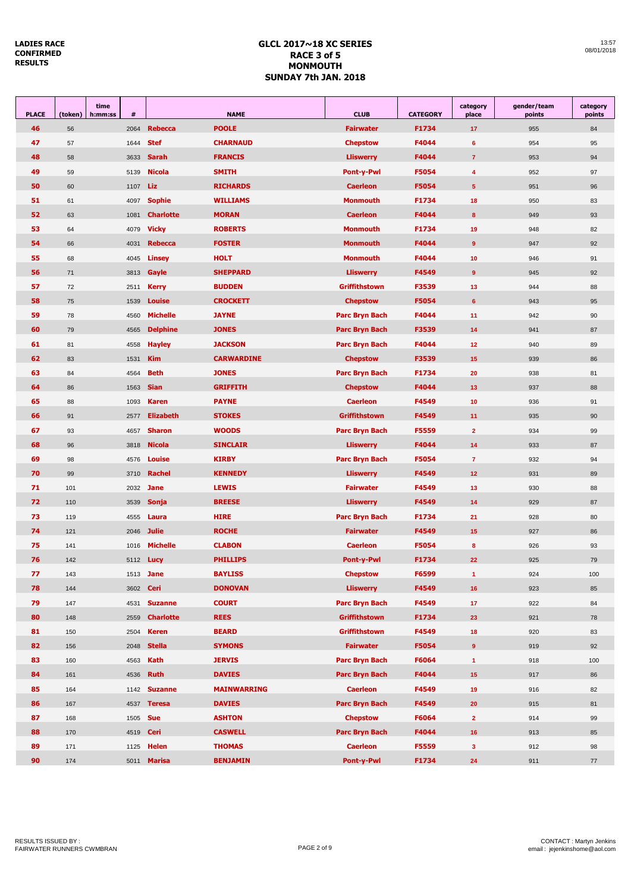| <b>PLACE</b> | (token) | time<br>h:mm:ss | $\pmb{\#}$ | <b>NAME</b>      |                    | <b>CLUB</b>           | <b>CATEGORY</b> | category<br>place | gender/team<br>points | category<br>points |
|--------------|---------|-----------------|------------|------------------|--------------------|-----------------------|-----------------|-------------------|-----------------------|--------------------|
| 46           | 56      |                 | 2064       | <b>Rebecca</b>   | <b>POOLE</b>       | <b>Fairwater</b>      | F1734           | 17                | 955                   | 84                 |
| 47           | 57      |                 | 1644       | <b>Stef</b>      | <b>CHARNAUD</b>    | <b>Chepstow</b>       | F4044           | 6                 | 954                   | 95                 |
| 48           | 58      |                 | 3633       | <b>Sarah</b>     | <b>FRANCIS</b>     | <b>Lliswerry</b>      | F4044           | $\overline{7}$    | 953                   | 94                 |
| 49           | 59      |                 | 5139       | <b>Nicola</b>    | <b>SMITH</b>       | <b>Pont-y-Pwl</b>     | F5054           | $\overline{4}$    | 952                   | 97                 |
| 50           | 60      |                 | 1107       | Liz              | <b>RICHARDS</b>    | <b>Caerleon</b>       | F5054           | $5\phantom{1}$    | 951                   | 96                 |
| 51           | 61      |                 | 4097       | <b>Sophie</b>    | <b>WILLIAMS</b>    | <b>Monmouth</b>       | F1734           | 18                | 950                   | 83                 |
| 52           | 63      |                 | 1081       | <b>Charlotte</b> | <b>MORAN</b>       | <b>Caerleon</b>       | F4044           | 8                 | 949                   | 93                 |
| 53           | 64      |                 | 4079       | <b>Vicky</b>     | <b>ROBERTS</b>     | <b>Monmouth</b>       | F1734           | 19                | 948                   | 82                 |
| 54           | 66      |                 | 4031       | <b>Rebecca</b>   | <b>FOSTER</b>      | <b>Monmouth</b>       | F4044           | 9                 | 947                   | 92                 |
| 55           | 68      |                 | 4045       | Linsey           | <b>HOLT</b>        | <b>Monmouth</b>       | F4044           | 10                | 946                   | 91                 |
| 56           | 71      |                 | 3813       | Gayle            | <b>SHEPPARD</b>    | <b>Lliswerry</b>      | F4549           | 9                 | 945                   | 92                 |
| 57           | 72      |                 | 2511       | <b>Kerry</b>     | <b>BUDDEN</b>      | Griffithstown         | F3539           | 13                | 944                   | 88                 |
| 58           | 75      |                 | 1539       | <b>Louise</b>    | <b>CROCKETT</b>    | <b>Chepstow</b>       | F5054           | $6\phantom{1}$    | 943                   | 95                 |
| 59           | 78      |                 | 4560       | <b>Michelle</b>  | <b>JAYNE</b>       | <b>Parc Bryn Bach</b> | F4044           | 11                | 942                   | 90                 |
| 60           | 79      |                 | 4565       | <b>Delphine</b>  | <b>JONES</b>       | <b>Parc Bryn Bach</b> | F3539           | 14                | 941                   | 87                 |
| 61           | 81      |                 | 4558       | <b>Hayley</b>    | <b>JACKSON</b>     | <b>Parc Bryn Bach</b> | F4044           | 12                | 940                   | 89                 |
| 62           | 83      |                 | 1531       | <b>Kim</b>       | <b>CARWARDINE</b>  | <b>Chepstow</b>       | F3539           | 15                | 939                   | 86                 |
| 63           | 84      |                 | 4564       | <b>Beth</b>      | <b>JONES</b>       | <b>Parc Bryn Bach</b> | F1734           | 20                | 938                   | 81                 |
| 64           | 86      |                 | 1563       | <b>Sian</b>      | <b>GRIFFITH</b>    | <b>Chepstow</b>       | F4044           | 13                | 937                   | 88                 |
| 65           | 88      |                 | 1093       | <b>Karen</b>     | <b>PAYNE</b>       | <b>Caerleon</b>       | F4549           | 10                | 936                   | 91                 |
| 66           | 91      |                 | 2577       | <b>Elizabeth</b> | <b>STOKES</b>      | Griffithstown         | F4549           | 11                | 935                   | 90                 |
| 67           | 93      |                 | 4657       | <b>Sharon</b>    | <b>WOODS</b>       | Parc Bryn Bach        | F5559           | $\overline{2}$    | 934                   | 99                 |
| 68           | 96      |                 | 3818       | <b>Nicola</b>    | <b>SINCLAIR</b>    | <b>Lliswerry</b>      | F4044           | 14                | 933                   | 87                 |
| 69           | 98      |                 | 4576       | Louise           | <b>KIRBY</b>       | Parc Bryn Bach        | F5054           | $\overline{7}$    | 932                   | 94                 |
| 70           | 99      |                 | 3710       | <b>Rachel</b>    | <b>KENNEDY</b>     | <b>Lliswerry</b>      | F4549           | 12 <sub>2</sub>   | 931                   | 89                 |
| 71           | 101     |                 | 2032       | <b>Jane</b>      | <b>LEWIS</b>       | <b>Fairwater</b>      | F4549           | 13                | 930                   | 88                 |
| 72           | 110     |                 | 3539       | Sonja            | <b>BREESE</b>      | <b>Lliswerry</b>      | F4549           | 14                | 929                   | 87                 |
| 73           | 119     |                 | 4555       | Laura            | <b>HIRE</b>        | <b>Parc Bryn Bach</b> | F1734           | 21                | 928                   | 80                 |
| 74           | 121     |                 | 2046       | <b>Julie</b>     | <b>ROCHE</b>       | <b>Fairwater</b>      | F4549           | 15 <sub>15</sub>  | 927                   | 86                 |
| 75           | 141     |                 | 1016       | <b>Michelle</b>  | <b>CLABON</b>      | <b>Caerleon</b>       | F5054           | 8                 | 926                   | 93                 |
| 76           | 142     |                 |            | 5112 <b>Lucy</b> | <b>PHILLIPS</b>    | <b>Pont-y-Pwl</b>     | F1734           | 22                | 925                   | 79                 |
| 77           | 143     |                 | 1513       | Jane             | <b>BAYLISS</b>     | <b>Chepstow</b>       | F6599           | $\mathbf{1}$      | 924                   | 100                |
| 78           | 144     |                 | 3602       | Ceri             | <b>DONOVAN</b>     | <b>Lliswerry</b>      | F4549           | 16                | 923                   | 85                 |
| 79           | 147     |                 | 4531       | <b>Suzanne</b>   | <b>COURT</b>       | <b>Parc Bryn Bach</b> | F4549           | 17                | 922                   | 84                 |
| 80           | 148     |                 | 2559       | <b>Charlotte</b> | <b>REES</b>        | <b>Griffithstown</b>  | F1734           | 23                | 921                   | 78                 |
| 81           | 150     |                 | 2504       | <b>Keren</b>     | <b>BEARD</b>       | Griffithstown         | F4549           | 18                | 920                   | 83                 |
| 82           | 156     |                 | 2048       | <b>Stella</b>    | <b>SYMONS</b>      | <b>Fairwater</b>      | F5054           | 9 <sup>°</sup>    | 919                   | 92                 |
| 83           | 160     |                 | 4563       | <b>Kath</b>      | <b>JERVIS</b>      | Parc Bryn Bach        | F6064           | $\mathbf{1}$      | 918                   | 100                |
| 84           | 161     |                 | 4536       | <b>Ruth</b>      | <b>DAVIES</b>      | Parc Bryn Bach        | F4044           | 15                | 917                   | 86                 |
| 85           | 164     |                 | 1142       | <b>Suzanne</b>   | <b>MAINWARRING</b> | <b>Caerleon</b>       | F4549           | 19                | 916                   | 82                 |
| 86           | 167     |                 | 4537       | <b>Teresa</b>    | <b>DAVIES</b>      | Parc Bryn Bach        | F4549           | 20                | 915                   | 81                 |
| 87           | 168     |                 | 1505       | <b>Sue</b>       | <b>ASHTON</b>      | <b>Chepstow</b>       | F6064           | $\overline{2}$    | 914                   | 99                 |
| 88           | 170     |                 | 4519       | Ceri             | <b>CASWELL</b>     | Parc Bryn Bach        | F4044           | 16                | 913                   | 85                 |
| 89           | 171     |                 | 1125       | <b>Helen</b>     | <b>THOMAS</b>      | <b>Caerleon</b>       | F5559           | $\mathbf{3}$      | 912                   | 98                 |
| 90           | 174     |                 | 5011       | <b>Marisa</b>    | <b>BENJAMIN</b>    | <b>Pont-y-Pwl</b>     | F1734           | 24                | 911                   | 77                 |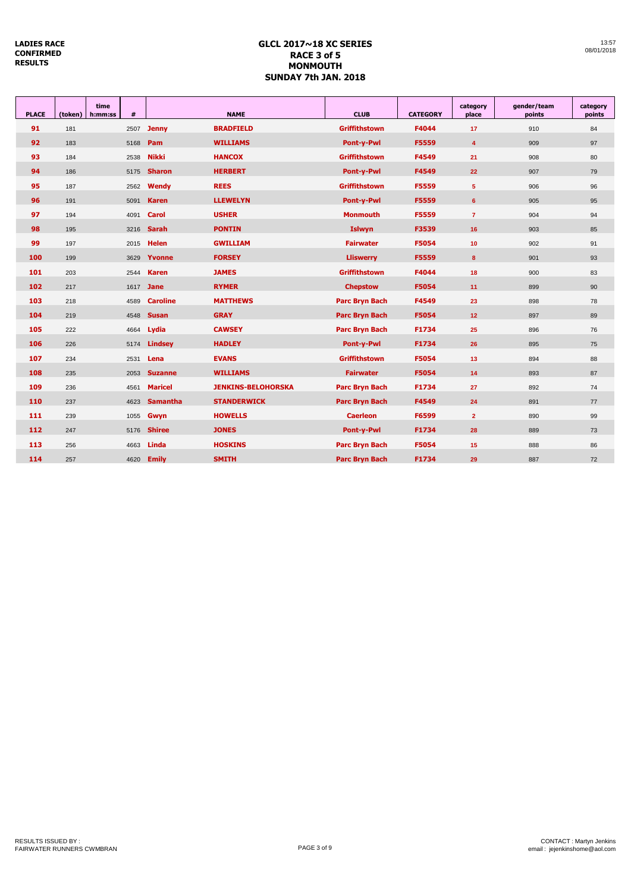| <b>PLACE</b> | (token) | time<br>h:mm:ss | #    |                 | <b>NAME</b>               | <b>CLUB</b>           | <b>CATEGORY</b> | category<br>place | gender/team<br>points | category<br>points |
|--------------|---------|-----------------|------|-----------------|---------------------------|-----------------------|-----------------|-------------------|-----------------------|--------------------|
| 91           | 181     |                 | 2507 | <b>Jenny</b>    | <b>BRADFIELD</b>          | <b>Griffithstown</b>  | F4044           | 17                | 910                   | 84                 |
| 92           | 183     |                 | 5168 | Pam             | <b>WILLIAMS</b>           | Pont-y-Pwl            | F5559           | $\overline{4}$    | 909                   | 97                 |
| 93           | 184     |                 | 2538 | <b>Nikki</b>    | <b>HANCOX</b>             | <b>Griffithstown</b>  | F4549           | 21                | 908                   | 80                 |
| 94           | 186     |                 | 5175 | <b>Sharon</b>   | <b>HERBERT</b>            | Pont-y-Pwl            | F4549           | 22 <sub>2</sub>   | 907                   | 79                 |
| 95           | 187     |                 | 2562 | Wendy           | <b>REES</b>               | <b>Griffithstown</b>  | F5559           | $5\phantom{.0}$   | 906                   | 96                 |
| 96           | 191     |                 | 5091 | <b>Karen</b>    | <b>LLEWELYN</b>           | Pont-y-Pwl            | F5559           | $6\phantom{1}$    | 905                   | 95                 |
| 97           | 194     |                 | 4091 | Carol           | <b>USHER</b>              | <b>Monmouth</b>       | F5559           | $\overline{7}$    | 904                   | 94                 |
| 98           | 195     |                 | 3216 | <b>Sarah</b>    | <b>PONTIN</b>             | <b>Islwyn</b>         | F3539           | 16                | 903                   | 85                 |
| 99           | 197     |                 | 2015 | <b>Helen</b>    | <b>GWILLIAM</b>           | <b>Fairwater</b>      | F5054           | 10                | 902                   | 91                 |
| 100          | 199     |                 | 3629 | Yvonne          | <b>FORSEY</b>             | <b>Lliswerry</b>      | F5559           | 8                 | 901                   | 93                 |
| 101          | 203     |                 | 2544 | <b>Karen</b>    | <b>JAMES</b>              | <b>Griffithstown</b>  | F4044           | 18                | 900                   | 83                 |
| 102          | 217     |                 | 1617 | <b>Jane</b>     | <b>RYMER</b>              | <b>Chepstow</b>       | F5054           | 11                | 899                   | 90                 |
| 103          | 218     |                 | 4589 | <b>Caroline</b> | <b>MATTHEWS</b>           | <b>Parc Bryn Bach</b> | F4549           | 23                | 898                   | 78                 |
| 104          | 219     |                 | 4548 | <b>Susan</b>    | <b>GRAY</b>               | <b>Parc Bryn Bach</b> | F5054           | 12                | 897                   | 89                 |
| 105          | 222     |                 | 4664 | Lydia           | <b>CAWSEY</b>             | <b>Parc Bryn Bach</b> | F1734           | 25                | 896                   | 76                 |
| 106          | 226     |                 | 5174 | <b>Lindsey</b>  | <b>HADLEY</b>             | <b>Pont-y-Pwl</b>     | F1734           | 26                | 895                   | 75                 |
| 107          | 234     |                 | 2531 | Lena            | <b>EVANS</b>              | <b>Griffithstown</b>  | F5054           | 13                | 894                   | 88                 |
| 108          | 235     |                 | 2053 | <b>Suzanne</b>  | <b>WILLIAMS</b>           | <b>Fairwater</b>      | F5054           | 14                | 893                   | 87                 |
| 109          | 236     |                 | 4561 | <b>Maricel</b>  | <b>JENKINS-BELOHORSKA</b> | <b>Parc Bryn Bach</b> | F1734           | 27                | 892                   | 74                 |
| 110          | 237     |                 | 4623 | <b>Samantha</b> | <b>STANDERWICK</b>        | <b>Parc Bryn Bach</b> | F4549           | 24                | 891                   | 77                 |
| 111          | 239     |                 | 1055 | Gwyn            | <b>HOWELLS</b>            | <b>Caerleon</b>       | F6599           | $\overline{2}$    | 890                   | 99                 |
| 112          | 247     |                 | 5176 | <b>Shiree</b>   | <b>JONES</b>              | <b>Pont-y-Pwl</b>     | F1734           | 28                | 889                   | 73                 |
| 113          | 256     |                 | 4663 | Linda           | <b>HOSKINS</b>            | <b>Parc Bryn Bach</b> | F5054           | 15                | 888                   | 86                 |
| 114          | 257     |                 | 4620 | <b>Emily</b>    | <b>SMITH</b>              | <b>Parc Bryn Bach</b> | F1734           | 29                | 887                   | 72                 |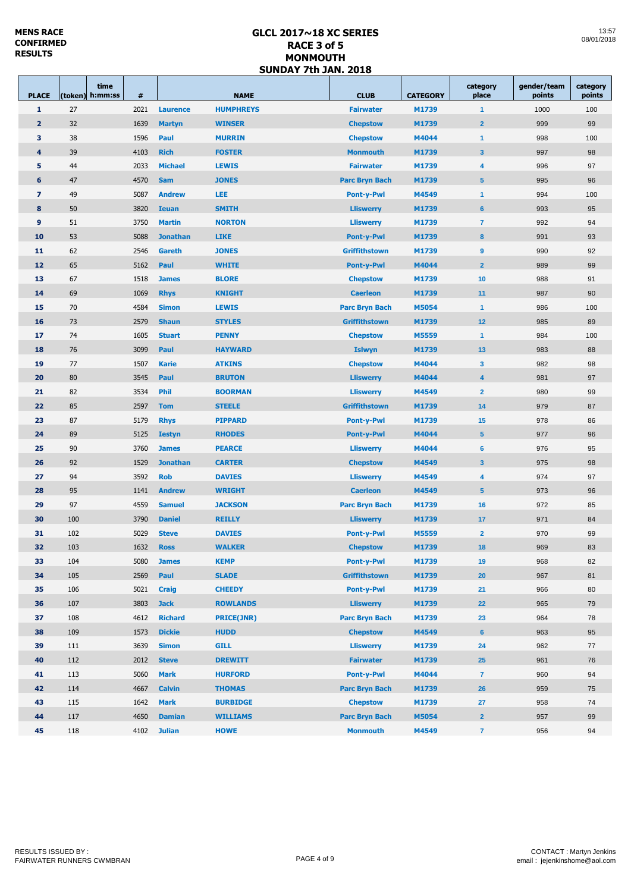| <b>PLACE</b>   |     | time<br>(token) h:mm:ss | #    | <b>NAME</b>     |                   | <b>CLUB</b>                | <b>CATEGORY</b> | category<br>place       | gender/team<br>points | category<br>points |
|----------------|-----|-------------------------|------|-----------------|-------------------|----------------------------|-----------------|-------------------------|-----------------------|--------------------|
| $\mathbf{1}$   | 27  |                         | 2021 | <b>Laurence</b> | <b>HUMPHREYS</b>  | <b>Fairwater</b>           | M1739           | $\mathbf{1}$            | 1000                  | 100                |
| $\overline{2}$ | 32  |                         | 1639 | <b>Martyn</b>   | <b>WINSER</b>     | <b>Chepstow</b>            | M1739           | $\overline{2}$          | 999                   | 99                 |
| 3              | 38  |                         | 1596 | Paul            | <b>MURRIN</b>     | <b>Chepstow</b>            | M4044           | $\mathbf{1}$            | 998                   | 100                |
| 4              | 39  |                         | 4103 | <b>Rich</b>     | <b>FOSTER</b>     | <b>Monmouth</b>            | M1739           | $\overline{\mathbf{3}}$ | 997                   | 98                 |
| 5              | 44  |                         | 2033 | <b>Michael</b>  | <b>LEWIS</b>      | <b>Fairwater</b>           | M1739           | $\overline{\mathbf{4}}$ | 996                   | 97                 |
| 6              | 47  |                         | 4570 | <b>Sam</b>      | <b>JONES</b>      | <b>Parc Bryn Bach</b>      | M1739           | $5\phantom{1}$          | 995                   | 96                 |
| $\overline{z}$ | 49  |                         | 5087 | <b>Andrew</b>   | <b>LEE</b>        | <b>Pont-y-Pwl</b>          | M4549           | $\mathbf{1}$            | 994                   | 100                |
| 8              | 50  |                         | 3820 | <b>Ieuan</b>    | <b>SMITH</b>      | <b>Lliswerry</b>           | M1739           | $6\phantom{1}6$         | 993                   | 95                 |
| 9              | 51  |                         | 3750 | <b>Martin</b>   | <b>NORTON</b>     | <b>Lliswerry</b>           | M1739           | $\overline{7}$          | 992                   | 94                 |
| 10             | 53  |                         | 5088 | <b>Jonathan</b> | <b>LIKE</b>       | <b>Pont-y-Pwl</b>          | M1739           |                         | 991                   | 93                 |
| 11             | 62  |                         | 2546 | Gareth          | <b>JONES</b>      | <b>Griffithstown</b>       | M1739           | 9                       | 990                   | 92                 |
| 12             | 65  |                         | 5162 | Paul            | <b>WHITE</b>      | M4044<br><b>Pont-y-Pwl</b> |                 | $\overline{2}$          | 989                   | 99                 |
| 13             | 67  |                         | 1518 | <b>James</b>    | <b>BLORE</b>      | <b>Chepstow</b>            | M1739           | 10                      | 988                   | 91                 |
| 14             | 69  |                         | 1069 | <b>Rhys</b>     | <b>KNIGHT</b>     | <b>Caerleon</b>            | M1739           | 11                      | 987                   | 90                 |
| 15             | 70  |                         | 4584 | <b>Simon</b>    | <b>LEWIS</b>      | <b>Parc Bryn Bach</b>      | M5054           | $\mathbf{1}$            | 986                   | 100                |
| <b>16</b>      | 73  |                         | 2579 | <b>Shaun</b>    | <b>STYLES</b>     | <b>Griffithstown</b>       | M1739           | 12                      | 985                   | 89                 |
| 17             | 74  |                         | 1605 | <b>Stuart</b>   | <b>PENNY</b>      | <b>Chepstow</b>            | M5559           | $\mathbf{1}$            | 984                   | 100                |
| 18             | 76  |                         | 3099 | Paul            | <b>HAYWARD</b>    | <b>Islwyn</b>              | M1739           | 13                      | 983                   | 88                 |
| 19             | 77  |                         | 1507 | <b>Karie</b>    | <b>ATKINS</b>     | <b>Chepstow</b>            | M4044           | $\mathbf{3}$            | 982                   | 98                 |
| 20             | 80  |                         | 3545 | Paul            | <b>BRUTON</b>     | <b>Lliswerry</b>           | M4044           | $\overline{\mathbf{4}}$ | 981                   | 97                 |
| 21             | 82  |                         | 3534 | Phil            | <b>BOORMAN</b>    | <b>Lliswerry</b>           | M4549           | $\overline{2}$          | 980                   | 99                 |
| 22             | 85  |                         | 2597 | <b>Tom</b>      | <b>STEELE</b>     | <b>Griffithstown</b>       | M1739           | 14                      | 979                   | 87                 |
| 23             | 87  |                         | 5179 | <b>Rhys</b>     | <b>PIPPARD</b>    | <b>Pont-y-Pwl</b>          | M1739           | 15                      | 978                   | 86                 |
| 24             | 89  |                         | 5125 | <b>Iestyn</b>   | <b>RHODES</b>     | <b>Pont-y-Pwl</b>          | M4044           | $5\phantom{1}$          | 977                   | 96                 |
| 25             | 90  |                         | 3760 | <b>James</b>    | <b>PEARCE</b>     | <b>Lliswerry</b>           | M4044           | $6\phantom{1}6$         | 976                   | 95                 |
| 26             | 92  |                         | 1529 | <b>Jonathan</b> | <b>CARTER</b>     | <b>Chepstow</b>            | M4549           | $\mathbf{3}$            | 975                   | 98                 |
| 27             | 94  |                         | 3592 | <b>Rob</b>      | <b>DAVIES</b>     | <b>Lliswerry</b>           | M4549           | 4                       | 974                   | 97                 |
| 28             | 95  |                         | 1141 | <b>Andrew</b>   | <b>WRIGHT</b>     | <b>Caerleon</b>            | M4549           | 5 <sup>5</sup>          | 973                   | 96                 |
| 29             | 97  |                         | 4559 | <b>Samuel</b>   | <b>JACKSON</b>    | <b>Parc Bryn Bach</b>      | M1739           | 16                      | 972                   | 85                 |
| 30             | 100 |                         | 3790 | <b>Daniel</b>   | <b>REILLY</b>     | <b>Lliswerry</b>           | M1739           | 17                      | 971                   | 84                 |
| 31             | 102 |                         | 5029 | <b>Steve</b>    | <b>DAVIES</b>     | <b>Pont-y-Pwl</b>          | M5559           | $\overline{2}$          | 970                   | 99                 |
| 32             | 103 |                         | 1632 | <b>Ross</b>     | <b>WALKER</b>     | <b>Chepstow</b>            | M1739           | 18                      | 969                   | 83                 |
| 33             | 104 |                         | 5080 | <b>James</b>    | <b>KEMP</b>       | <b>Pont-y-Pwl</b>          | M1739           | 19                      | 968                   | 82                 |
| 34             | 105 |                         | 2569 | Paul            | <b>SLADE</b>      | <b>Griffithstown</b>       | M1739           | 20                      | 967                   | 81                 |
| 35             | 106 |                         | 5021 | <b>Craig</b>    | <b>CHEEDY</b>     | <b>Pont-y-Pwl</b>          | M1739           | 21                      | 966                   | 80                 |
| 36             | 107 |                         | 3803 | <b>Jack</b>     | <b>ROWLANDS</b>   | <b>Lliswerry</b>           | M1739           | 22                      | 965                   | 79                 |
| 37             | 108 |                         | 4612 | <b>Richard</b>  | <b>PRICE(JNR)</b> | <b>Parc Bryn Bach</b>      | M1739           | 23                      | 964                   | 78                 |
| 38             | 109 |                         | 1573 | <b>Dickie</b>   | <b>HUDD</b>       | <b>Chepstow</b>            | M4549           | $6\phantom{1}$          | 963                   | 95                 |
| 39             | 111 |                         | 3639 | <b>Simon</b>    | <b>GILL</b>       | <b>Lliswerry</b>           | M1739           | 24                      | 962                   | 77                 |
| 40             | 112 |                         | 2012 | <b>Steve</b>    | <b>DREWITT</b>    | <b>Fairwater</b>           | M1739           | 25                      | 961                   | 76                 |
| 41             | 113 |                         | 5060 | <b>Mark</b>     | <b>HURFORD</b>    | <b>Pont-y-Pwl</b>          | M4044           | $\overline{7}$          | 960                   | 94                 |
| 42             | 114 |                         | 4667 | <b>Calvin</b>   | <b>THOMAS</b>     | <b>Parc Bryn Bach</b>      | M1739           | 26                      | 959                   | 75                 |
| 43             | 115 |                         | 1642 | <b>Mark</b>     | <b>BURBIDGE</b>   | <b>Chepstow</b>            | M1739           | 27                      | 958                   | 74                 |
| 44             | 117 |                         | 4650 | <b>Damian</b>   | <b>WILLIAMS</b>   | <b>Parc Bryn Bach</b>      | M5054           | $\overline{\mathbf{2}}$ | 957                   | 99                 |
| 45             | 118 |                         | 4102 | <b>Julian</b>   | <b>HOWE</b>       | <b>Monmouth</b>            | M4549           | $\overline{7}$          | 956                   | 94                 |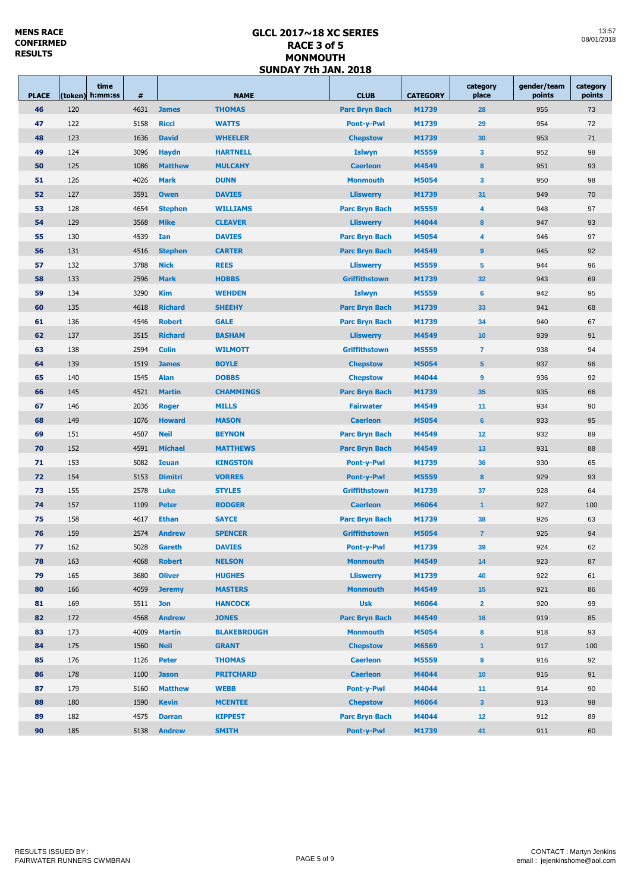| <b>PLACE</b> |     | time<br>(token) h:mm:ss | #    |                | <b>NAME</b>        | <b>CLUB</b>                    | <b>CATEGORY</b> | category<br>place       | gender/team<br>points | category<br>points |
|--------------|-----|-------------------------|------|----------------|--------------------|--------------------------------|-----------------|-------------------------|-----------------------|--------------------|
| 46           | 120 |                         | 4631 | <b>James</b>   | <b>THOMAS</b>      | <b>Parc Bryn Bach</b>          | M1739           | 28                      | 955                   | 73                 |
| 47           | 122 |                         | 5158 | <b>Ricci</b>   | <b>WATTS</b>       | <b>Pont-y-Pwl</b>              | M1739           | 29                      | 954                   | 72                 |
| 48           | 123 |                         | 1636 | <b>David</b>   | <b>WHEELER</b>     | <b>Chepstow</b>                | M1739           | 30                      | 953                   | 71                 |
| 49           | 124 |                         | 3096 | <b>Haydn</b>   | <b>HARTNELL</b>    | <b>Islwyn</b>                  | M5559           | $\mathbf{3}$            | 952                   | 98                 |
| 50           | 125 |                         | 1086 | <b>Matthew</b> | <b>MULCAHY</b>     | <b>Caerleon</b>                | M4549           | 8                       | 951                   | 93                 |
| 51           | 126 |                         | 4026 | <b>Mark</b>    | <b>DUNN</b>        | <b>Monmouth</b><br>M5054       |                 | $\mathbf{3}$            | 950                   | 98                 |
| 52           | 127 |                         | 3591 | <b>Owen</b>    | <b>DAVIES</b>      | <b>Lliswerry</b>               | M1739           | 31                      | 949                   | 70                 |
| 53           | 128 |                         | 4654 | <b>Stephen</b> | <b>WILLIAMS</b>    | <b>Parc Bryn Bach</b><br>M5559 |                 | 4                       | 948                   | 97                 |
| 54           | 129 |                         | 3568 | <b>Mike</b>    | <b>CLEAVER</b>     | M4044<br><b>Lliswerry</b>      |                 | 8                       | 947                   | 93                 |
| 55           | 130 |                         | 4539 | Ian            | <b>DAVIES</b>      | <b>Parc Bryn Bach</b>          | M5054           | $\overline{\mathbf{4}}$ | 946                   | 97                 |
| 56           | 131 |                         | 4516 | <b>Stephen</b> | <b>CARTER</b>      | <b>Parc Bryn Bach</b>          | M4549           | 9                       | 945                   | 92                 |
| 57           | 132 |                         | 3788 | <b>Nick</b>    | <b>REES</b>        | <b>Lliswerry</b>               | M5559           | 5                       | 944                   | 96                 |
| 58           | 133 |                         | 2596 | <b>Mark</b>    | <b>HOBBS</b>       | <b>Griffithstown</b>           | M1739           | 32                      | 943                   | 69                 |
| 59           | 134 |                         | 3290 | <b>Kim</b>     | <b>WEHDEN</b>      | <b>Islwyn</b>                  | M5559           | 6                       | 942                   | 95                 |
| 60           | 135 |                         | 4618 | <b>Richard</b> | <b>SHEEHY</b>      | <b>Parc Bryn Bach</b>          | M1739           | 33                      | 941                   | 68                 |
| 61           | 136 |                         | 4546 | <b>Robert</b>  | <b>GALE</b>        | <b>Parc Bryn Bach</b>          | M1739           | 34                      | 940                   | 67                 |
| 62           | 137 |                         | 3515 | <b>Richard</b> | <b>BASHAM</b>      | <b>Lliswerry</b>               | M4549           | 10                      | 939                   | 91                 |
| 63           | 138 |                         | 2594 | <b>Colin</b>   | <b>WILMOTT</b>     | <b>Griffithstown</b>           | M5559           | $\overline{7}$          | 938                   | 94                 |
| 64           | 139 |                         | 1519 | <b>James</b>   | <b>BOYLE</b>       | <b>Chepstow</b><br>M5054       |                 | $5\phantom{1}$          | 937                   | 96                 |
| 65           | 140 |                         | 1545 | <b>Alan</b>    | <b>DOBBS</b>       | <b>Chepstow</b>                | M4044           | 9                       | 936                   | 92                 |
| 66           | 145 |                         | 4521 | <b>Martin</b>  | <b>CHAMMINGS</b>   | <b>Parc Bryn Bach</b>          | M1739           | 35                      | 935                   | 66                 |
| 67           | 146 |                         | 2036 | <b>Roger</b>   | <b>MILLS</b>       | <b>Fairwater</b>               | M4549           | 11                      | 934                   | 90                 |
| 68           | 149 |                         | 1076 | <b>Howard</b>  | <b>MASON</b>       | <b>Caerleon</b>                | M5054           | $6\phantom{1}$          | 933                   | 95                 |
| 69           | 151 |                         | 4507 | <b>Neil</b>    | <b>BEYNON</b>      | <b>Parc Bryn Bach</b>          | M4549           | 12                      | 932                   | 89                 |
| 70           | 152 |                         | 4591 | <b>Michael</b> | <b>MATTHEWS</b>    | <b>Parc Bryn Bach</b>          | M4549           | 13                      | 931                   | 88                 |
| 71           | 153 |                         | 5082 | <b>Ieuan</b>   | <b>KINGSTON</b>    | <b>Pont-y-Pwl</b>              | M1739           | 36                      | 930                   | 65                 |
| 72           | 154 |                         | 5153 | <b>Dimitri</b> | <b>VORRES</b>      | <b>Pont-y-Pwl</b>              | M5559           | 8                       | 929                   | 93                 |
| 73           | 155 |                         | 2578 | Luke           | <b>STYLES</b>      | <b>Griffithstown</b>           | M1739           | 37                      | 928                   | 64                 |
| 74           | 157 |                         | 1109 | <b>Peter</b>   | <b>RODGER</b>      | <b>Caerleon</b>                | M6064           | $\overline{1}$          | 927                   | 100                |
| 75           | 158 |                         | 4617 | <b>Ethan</b>   | <b>SAYCE</b>       | <b>Parc Bryn Bach</b>          | M1739           | 38                      | 926                   | 63                 |
| 76           | 159 |                         | 2574 | <b>Andrew</b>  | <b>SPENCER</b>     | <b>Griffithstown</b>           | M5054           | $\overline{7}$          | 925                   | 94                 |
| 77           | 162 |                         |      | 5028 Gareth    | <b>DAVIES</b>      | Pont-y-Pwl                     | M1739           | 39                      | 924                   | 62                 |
| 78           | 163 |                         | 4068 | <b>Robert</b>  | <b>NELSON</b>      | <b>Monmouth</b>                | M4549           | 14                      | 923                   | 87                 |
| 79           | 165 |                         | 3680 | <b>Oliver</b>  | <b>HUGHES</b>      | <b>Lliswerry</b>               | M1739           | 40                      | 922                   | 61                 |
| 80           | 166 |                         | 4059 | <b>Jeremy</b>  | <b>MASTERS</b>     | <b>Monmouth</b>                | M4549           | 15                      | 921                   | 86                 |
| 81           | 169 |                         | 5511 | <b>Jon</b>     | <b>HANCOCK</b>     | <b>Usk</b>                     | M6064           | $\overline{2}$          | 920                   | 99                 |
| 82           | 172 |                         | 4568 | <b>Andrew</b>  | <b>JONES</b>       | <b>Parc Bryn Bach</b>          | M4549           | 16                      | 919                   | 85                 |
| 83           | 173 |                         | 4009 | <b>Martin</b>  | <b>BLAKEBROUGH</b> | <b>Monmouth</b>                | M5054           | $\bf8$                  | 918                   | 93                 |
| 84           | 175 |                         | 1560 | <b>Neil</b>    | <b>GRANT</b>       | <b>Chepstow</b>                | M6569           | $\mathbf{1}$            | 917                   | 100                |
| 85           | 176 |                         | 1126 | <b>Peter</b>   | <b>THOMAS</b>      | <b>Caerleon</b>                | M5559           | 9                       | 916                   | 92                 |
| 86           | 178 |                         | 1100 | <b>Jason</b>   | <b>PRITCHARD</b>   | <b>Caerleon</b>                | M4044           | 10                      | 915                   | 91                 |
| 87           | 179 |                         | 5160 | <b>Matthew</b> | <b>WEBB</b>        | Pont-y-Pwl                     | M4044           | 11                      | 914                   | 90                 |
| 88           | 180 |                         | 1590 | <b>Kevin</b>   | <b>MCENTEE</b>     | <b>Chepstow</b>                | M6064           | 3 <sup>2</sup>          | 913                   | 98                 |
| 89           | 182 |                         | 4575 | <b>Darran</b>  | <b>KIPPEST</b>     | <b>Parc Bryn Bach</b>          | M4044           | 12                      | 912                   | 89                 |
| 90           | 185 |                         |      | 5138 Andrew    | <b>SMITH</b>       | Pont-y-Pwl                     | M1739           | 41                      | 911                   | 60                 |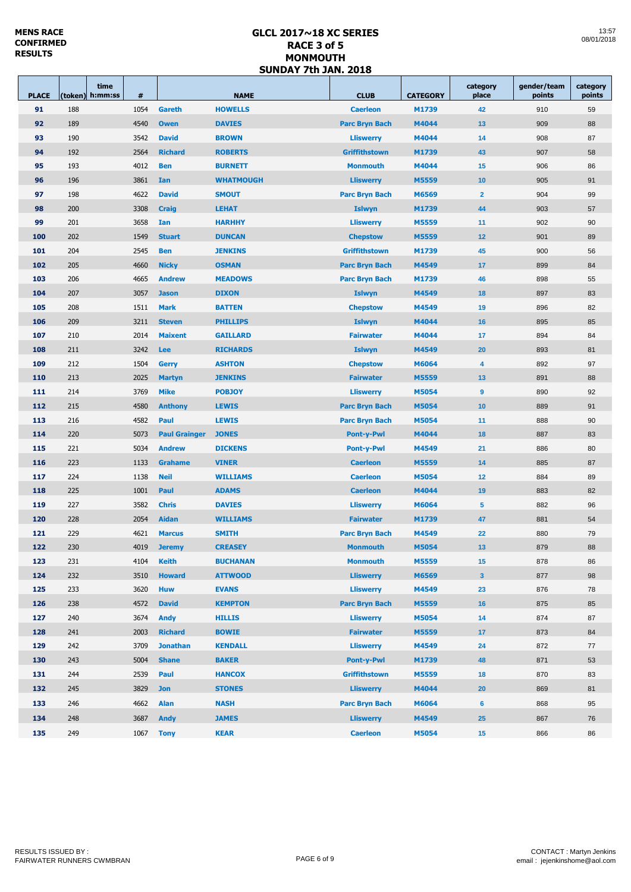| <b>PLACE</b> | time<br>(token) h:mm:ss | #    | <b>NAME</b>          |                  | <b>CLUB</b>           | <b>CATEGORY</b> | category<br>place       | gender/team<br>points | category<br>points |
|--------------|-------------------------|------|----------------------|------------------|-----------------------|-----------------|-------------------------|-----------------------|--------------------|
| 91           | 188                     | 1054 | Gareth               | <b>HOWELLS</b>   | <b>Caerleon</b>       | M1739           | 42                      | 910                   | 59                 |
| 92           | 189                     | 4540 | <b>Owen</b>          | <b>DAVIES</b>    | <b>Parc Bryn Bach</b> | M4044           | 13                      | 909                   | 88                 |
| 93           | 190                     | 3542 | <b>David</b>         | <b>BROWN</b>     | <b>Lliswerry</b>      | M4044           | 14                      | 908                   | 87                 |
| 94           | 192                     | 2564 | <b>Richard</b>       | <b>ROBERTS</b>   | <b>Griffithstown</b>  | M1739           | 43                      | 907                   | 58                 |
| 95           | 193                     | 4012 | <b>Ben</b>           | <b>BURNETT</b>   | <b>Monmouth</b>       | M4044           | 15                      | 906                   | 86                 |
| 96           | 196                     | 3861 | Ian                  | <b>WHATMOUGH</b> | <b>Lliswerry</b>      | M5559           | 10                      | 905                   | 91                 |
| 97           | 198                     | 4622 | <b>David</b>         | <b>SMOUT</b>     | <b>Parc Bryn Bach</b> | M6569           | $\overline{2}$          | 904                   | 99                 |
| 98           | 200                     | 3308 | <b>Craig</b>         | <b>LEHAT</b>     | <b>Islwyn</b>         | M1739           | 44                      | 903                   | 57                 |
| 99           | 201                     | 3658 | Ian                  | <b>HARHHY</b>    | <b>Lliswerry</b>      | M5559           | 11                      | 902                   | 90                 |
| 100          | 202                     | 1549 | <b>Stuart</b>        | <b>DUNCAN</b>    | <b>Chepstow</b>       | M5559           | 12                      | 901                   | 89                 |
| 101          | 204                     | 2545 | <b>Ben</b>           | <b>JENKINS</b>   | <b>Griffithstown</b>  | M1739           | 45                      | 900                   | 56                 |
| 102          | 205                     | 4660 | <b>Nicky</b>         | <b>OSMAN</b>     | <b>Parc Bryn Bach</b> | M4549           | 17                      | 899                   | 84                 |
| 103          | 206                     | 4665 | <b>Andrew</b>        | <b>MEADOWS</b>   | <b>Parc Bryn Bach</b> | M1739           | 46                      | 898                   | 55                 |
| 104          | 207                     | 3057 | <b>Jason</b>         | <b>DIXON</b>     | <b>Islwyn</b>         | M4549           | 18                      | 897                   | 83                 |
| 105          | 208                     | 1511 | <b>Mark</b>          | <b>BATTEN</b>    | <b>Chepstow</b>       | M4549           | 19                      | 896                   | 82                 |
| 106          | 209                     | 3211 | <b>Steven</b>        | <b>PHILLIPS</b>  | <b>Islwyn</b>         | M4044           | 16                      | 895                   | 85                 |
| 107          | 210                     | 2014 | <b>Maixent</b>       | <b>GAILLARD</b>  | <b>Fairwater</b>      | M4044           | 17                      | 894                   | 84                 |
| 108          | 211                     | 3242 | Lee                  | <b>RICHARDS</b>  | <b>Islwyn</b>         | M4549           | 20                      | 893                   | 81                 |
| 109          | 212                     | 1504 | Gerry                | <b>ASHTON</b>    | <b>Chepstow</b>       | M6064           | 4                       | 892                   | 97                 |
| 110          | 213                     | 2025 | <b>Martyn</b>        | <b>JENKINS</b>   | <b>Fairwater</b>      | M5559           | 13                      | 891                   | 88                 |
| 111          | 214                     | 3769 | <b>Mike</b>          | <b>POBJOY</b>    | <b>Lliswerry</b>      | M5054           | 9                       | 890                   | 92                 |
| 112          | 215                     | 4580 | <b>Anthony</b>       | <b>LEWIS</b>     | <b>Parc Bryn Bach</b> | M5054           | 10                      | 889                   | 91                 |
| 113          | 216                     | 4582 | Paul                 | <b>LEWIS</b>     | <b>Parc Bryn Bach</b> | M5054           | 11                      | 888                   | 90                 |
| 114          | 220                     | 5073 | <b>Paul Grainger</b> | <b>JONES</b>     | <b>Pont-y-Pwl</b>     | M4044           | 18                      | 887                   | 83                 |
| 115          | 221                     | 5034 | <b>Andrew</b>        | <b>DICKENS</b>   | <b>Pont-y-Pwl</b>     | M4549           | 21                      | 886                   | 80                 |
| 116          | 223                     | 1133 | <b>Grahame</b>       | <b>VINER</b>     | <b>Caerleon</b>       | M5559           | 14                      | 885                   | 87                 |
| 117          | 224                     | 1138 | <b>Neil</b>          | <b>WILLIAMS</b>  | <b>Caerleon</b>       | M5054           | 12                      | 884                   | 89                 |
| 118          | 225                     | 1001 | Paul                 | <b>ADAMS</b>     | <b>Caerleon</b>       | M4044           | 19                      | 883                   | 82                 |
| 119          | 227                     | 3582 | <b>Chris</b>         | <b>DAVIES</b>    | <b>Lliswerry</b>      | M6064           | $5\phantom{1}$          | 882                   | 96                 |
| 120          | 228                     | 2054 | <b>Aidan</b>         | <b>WILLIAMS</b>  | <b>Fairwater</b>      | M1739           | 47                      | 881                   | 54                 |
| 121          | 229                     | 4621 | <b>Marcus</b>        | <b>SMITH</b>     | <b>Parc Bryn Bach</b> | M4549           | 22                      | 880                   | 79                 |
| 122          | 230                     | 4019 | <b>Jeremy</b>        | <b>CREASEY</b>   | <b>Monmouth</b>       | M5054           | 13                      | 879                   | 88                 |
| 123          | 231                     | 4104 | <b>Keith</b>         | <b>BUCHANAN</b>  | <b>Monmouth</b>       | M5559           | 15                      | 878                   | 86                 |
| 124          | 232                     | 3510 | <b>Howard</b>        | <b>ATTWOOD</b>   | <b>Lliswerry</b>      | M6569           | $\overline{\mathbf{3}}$ | 877                   | 98                 |
| 125          | 233                     | 3620 | <b>Huw</b>           | <b>EVANS</b>     | <b>Lliswerry</b>      | M4549           | 23                      | 876                   | 78                 |
| 126          | 238                     | 4572 | <b>David</b>         | <b>KEMPTON</b>   | <b>Parc Bryn Bach</b> | M5559           | 16                      | 875                   | 85                 |
| 127          | 240                     | 3674 | <b>Andy</b>          | <b>HILLIS</b>    | <b>Lliswerry</b>      | M5054           | 14                      | 874                   | 87                 |
| 128          | 241                     | 2003 | <b>Richard</b>       | <b>BOWIE</b>     | <b>Fairwater</b>      | M5559           | 17                      | 873                   | 84                 |
| 129          | 242                     | 3709 | <b>Jonathan</b>      | <b>KENDALL</b>   | <b>Lliswerry</b>      | M4549           | 24                      | 872                   | 77                 |
| 130          | 243                     | 5004 | <b>Shane</b>         | <b>BAKER</b>     | <b>Pont-y-Pwl</b>     | M1739           | 48                      | 871                   | 53                 |
| 131          | 244                     | 2539 | Paul                 | <b>HANCOX</b>    | <b>Griffithstown</b>  | M5559           | 18                      | 870                   | 83                 |
| 132          | 245                     | 3829 | <b>Jon</b>           | <b>STONES</b>    | <b>Lliswerry</b>      | M4044           | 20                      | 869                   | 81                 |
| 133          | 246                     | 4662 | <b>Alan</b>          | <b>NASH</b>      | <b>Parc Bryn Bach</b> | M6064           | $6\phantom{1}$          | 868                   | 95                 |
| 134          | 248                     | 3687 | <b>Andy</b>          | <b>JAMES</b>     | <b>Lliswerry</b>      | M4549           | 25                      | 867                   | 76                 |
| 135          | 249<br>1067             |      | <b>Tony</b>          | <b>KEAR</b>      | <b>Caerleon</b>       | M5054           | 15                      | 866                   | 86                 |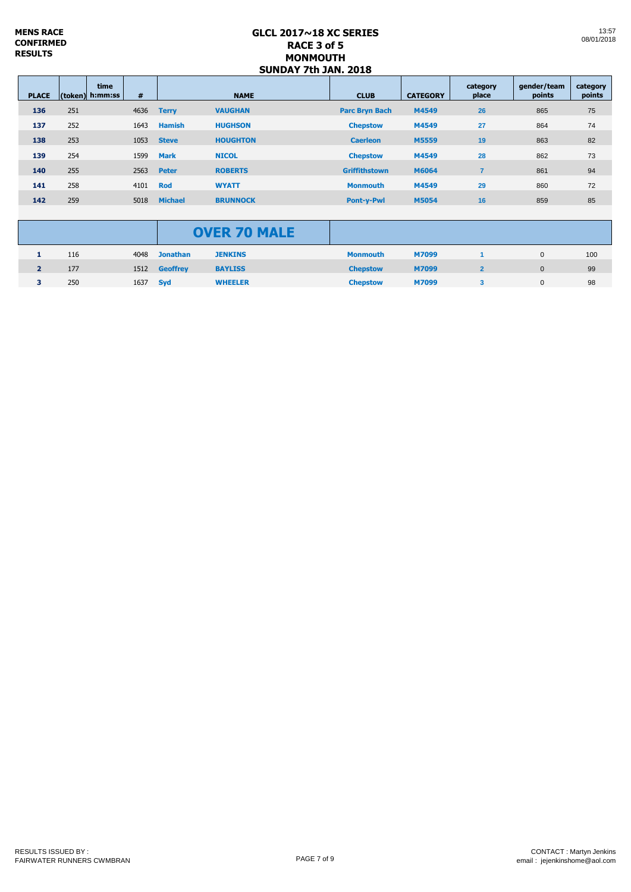| <b>PLACE</b> |     | time<br>(token) h:mm:ss | #    | <b>NAME</b>    |                 | <b>CLUB</b>           | <b>CATEGORY</b> | category<br>place | gender/team<br>points | category<br>points |
|--------------|-----|-------------------------|------|----------------|-----------------|-----------------------|-----------------|-------------------|-----------------------|--------------------|
| 136          | 251 |                         | 4636 | <b>Terry</b>   | <b>VAUGHAN</b>  | <b>Parc Bryn Bach</b> | M4549           | 26                | 865                   | 75                 |
| 137          | 252 |                         | 1643 | <b>Hamish</b>  | <b>HUGHSON</b>  | <b>Chepstow</b>       | M4549           | 27                | 864                   | 74                 |
| 138          | 253 |                         | 1053 | <b>Steve</b>   | <b>HOUGHTON</b> | <b>Caerleon</b>       | M5559           | 19                | 863                   | 82                 |
| 139          | 254 |                         | 1599 | <b>Mark</b>    | <b>NICOL</b>    | <b>Chepstow</b>       | M4549           | 28                | 862                   | 73                 |
| 140          | 255 |                         | 2563 | <b>Peter</b>   | <b>ROBERTS</b>  | <b>Griffithstown</b>  | M6064           |                   | 861                   | 94                 |
| 141          | 258 |                         | 4101 | <b>Rod</b>     | <b>WYATT</b>    | <b>Monmouth</b>       | M4549           | 29                | 860                   | 72                 |
| 142          | 259 |                         | 5018 | <b>Michael</b> | <b>BRUNNOCK</b> | <b>Pont-v-Pwl</b>     | <b>M5054</b>    | 16                | 859                   | 85                 |

|   |     |                 |               | <b>OVER 70 MALE</b> |                 |       |   |     |
|---|-----|-----------------|---------------|---------------------|-----------------|-------|---|-----|
|   | 116 | 4048            | Jonathan      | <b>JENKINS</b>      | <b>Monmouth</b> | M7099 | 0 | 100 |
| 2 | 177 |                 | 1512 Geoffrey | <b>BAYLISS</b>      | <b>Chepstow</b> | M7099 | 0 | 99  |
| з | 250 | 1637 <b>Syd</b> |               | <b>WHEELER</b>      | <b>Chepstow</b> | M7099 | 0 | 98  |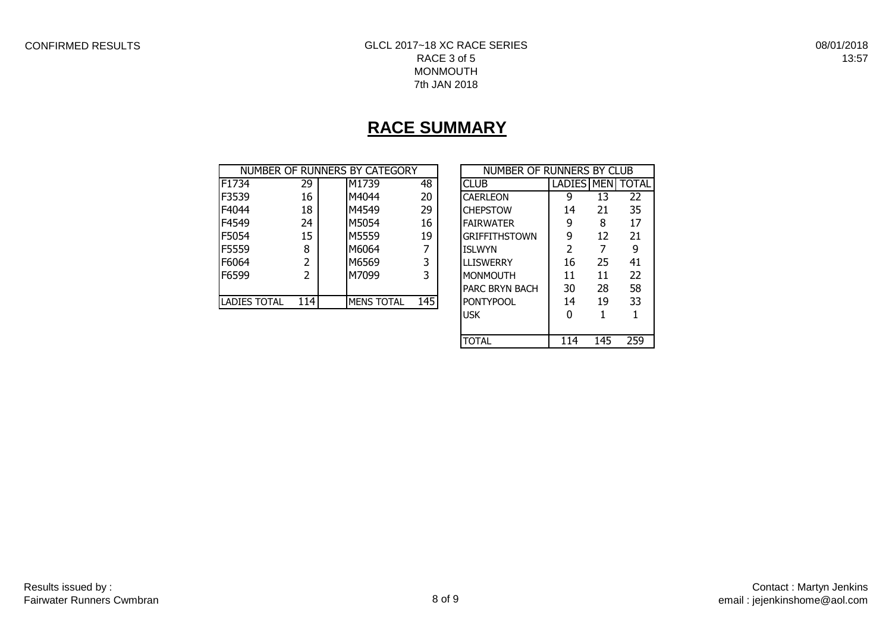08/01/2018 13:57

# **RACE SUMMARY**

|                     |       | NUMBER OF RUNNERS BY CATEGORY |     | NUMBER OF RUNNERS BY CLUB |                      |    |    |
|---------------------|-------|-------------------------------|-----|---------------------------|----------------------|----|----|
| F1734               | 29    | M1739                         | 48  | <b>CLUB</b>               | LADIES   MEN   TOTAL |    |    |
| F3539               | 16    | M4044                         | 20  | <b>CAERLEON</b>           | 9                    | 13 | 22 |
| F4044               | 18    | M4549                         | 29  | <b>CHEPSTOW</b>           | 14                   | 21 | 35 |
| F4549               | 24    | M5054                         | 16  | <b>FAIRWATER</b>          | 9                    | 8  | 17 |
| F5054               | 15    | M5559                         | 19  | <b>GRIFFITHSTOWN</b>      | 9                    | 12 | 21 |
| F5559               | 8     | M6064                         | 7   | <b>ISLWYN</b>             |                      |    | 9  |
| F6064               |       | M6569                         | 3   | <b>LLISWERRY</b>          | 16                   | 25 | 41 |
| F6599               | 2     | M7099                         | 3   | <b>MONMOUTH</b>           | 11                   | 11 | 22 |
|                     |       |                               |     | PARC BRYN BACH            | 30                   | 28 | 58 |
| <b>LADIES TOTAL</b> | 114 I | <b>MENS TOTAL</b>             | 145 | <b>PONTYPOOL</b>          | 14                   | 19 | 33 |
|                     |       |                               |     | <b>TICK</b>               | ∩                    |    |    |

| NUMBER OF RUNNERS BY CLUB |               |     |              |  |  |  |  |  |  |
|---------------------------|---------------|-----|--------------|--|--|--|--|--|--|
| <b>CLUB</b>               | LADIES MEN    |     | <b>TOTAL</b> |  |  |  |  |  |  |
| <b>CAERLEON</b>           | q             | 13  | 22           |  |  |  |  |  |  |
| <b>CHEPSTOW</b>           | 14            | 21  | 35           |  |  |  |  |  |  |
| <b>FAIRWATER</b>          | 9             | 8   | 17           |  |  |  |  |  |  |
| <b>GRIFFITHSTOWN</b>      | 9             | 12  | 21           |  |  |  |  |  |  |
| <b>ISLWYN</b>             | $\mathcal{P}$ | 7   | q            |  |  |  |  |  |  |
| <b>LLISWERRY</b>          | 16            | 25  | 41           |  |  |  |  |  |  |
| <b>MONMOUTH</b>           | 11            | 11  | 22           |  |  |  |  |  |  |
| <b>PARC BRYN BACH</b>     | 30            | 28  | 58           |  |  |  |  |  |  |
| <b>PONTYPOOL</b>          | 14            | 19  | 33           |  |  |  |  |  |  |
| USK                       | O             | 1   | 1            |  |  |  |  |  |  |
|                           |               |     |              |  |  |  |  |  |  |
| TOTAL                     | 114           | 145 | 259          |  |  |  |  |  |  |